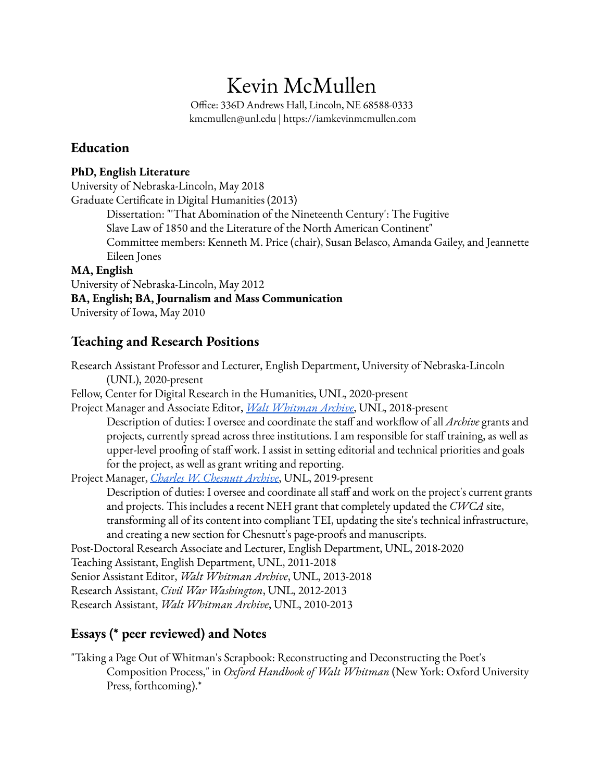# Kevin McMullen

Office: 336D Andrews Hall, Lincoln, NE 68588-0333 kmcmullen@unl.edu | https://iamkevinmcmullen.com

## **Education**

### **PhD, English Literature**

University of Nebraska-Lincoln, May 2018 Graduate Certificate in Digital Humanities (2013) Dissertation: "'That Abomination of the Nineteenth Century': The Fugitive Slave Law of 1850 and the Literature of the North American Continent" Committee members: Kenneth M. Price (chair), Susan Belasco, Amanda Gailey, and Jeannette Eileen Jones **MA, English** University of Nebraska-Lincoln, May 2012

## **BA, English; BA, Journalism and Mass Communication**

University of Iowa, May 2010

## **Teaching and Research Positions**

Research Assistant Professor and Lecturer, English Department, University of Nebraska-Lincoln (UNL), 2020-present Fellow, Center for Digital Research in the Humanities, UNL, 2020-present Project Manager and Associate Editor, *Walt [Whitman](http://whitmanarchive.org) Archive*, UNL, 2018-present Description of duties: I oversee and coordinate the staff and workflow of all *Archive* grants and projects, currently spread across three institutions. I am responsible for staff training, as well as upper-level proofing of staff work. I assist in setting editorial and technical priorities and goals for the project, as well as grant writing and reporting. Project Manager, *Charles W. [Chesnutt](http://chesnuttarchive.org) Archive*, UNL, 2019-present Description of duties: I oversee and coordinate all staff and work on the project's current grants and projects. This includes a recent NEH grant that completely updated the *CWCA* site, transforming all of its content into compliant TEI, updating the site's technical infrastructure, and creating a new section for Chesnutt's page-proofs and manuscripts. Post-Doctoral Research Associate and Lecturer, English Department, UNL, 2018-2020 Teaching Assistant, English Department, UNL, 2011-2018 Senior Assistant Editor, *Walt Whitman Archive*, UNL, 2013-2018 Research Assistant, *Civil War Washington*, UNL, 2012-2013 Research Assistant, *Walt Whitman Archive*, UNL, 2010-2013

# **Essays (\* peer reviewed) and Notes**

"Taking a Page Out of Whitman's Scrapbook: Reconstructing and Deconstructing the Poet's Composition Process," in *Oxford Handbook of Walt Whitman* (New York: Oxford University Press, forthcoming).\*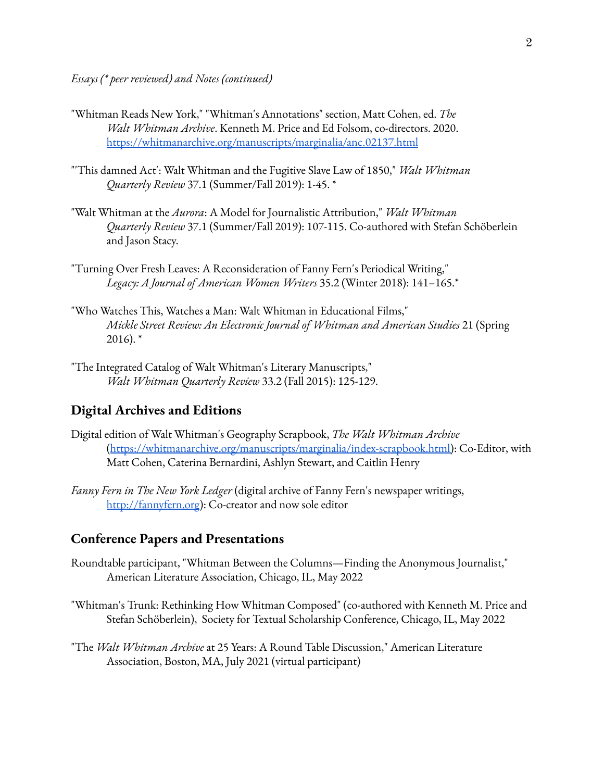- "Whitman Reads New York," "Whitman's Annotations" section, Matt Cohen, ed. *The Walt Whitman Archive*. Kenneth M. Price and Ed Folsom, co-directors. 2020. <https://whitmanarchive.org/manuscripts/marginalia/anc.02137.html>
- "'This damned Act': Walt Whitman and the Fugitive Slave Law of 1850," *Walt Whitman Quarterly Review* 37.1 (Summer/Fall 2019): 1-45. \*
- "Walt Whitman at the *Aurora*: A Model for Journalistic Attribution," *Walt Whitman Quarterly Review* 37.1 (Summer/Fall 2019): 107-115. Co-authored with Stefan Schöberlein and Jason Stacy.
- "Turning Over Fresh Leaves: A Reconsideration of Fanny Fern's Periodical Writing," *Legacy: A Journal of American Women Writers* 35.2 (Winter 2018): 141–165.\*
- "Who Watches This, Watches a Man: Walt Whitman in Educational Films," *Mickle Street Review: An Electronic Journal of Whitman and American Studies* 21 (Spring  $2016$ ).  $*$
- "The Integrated Catalog of Walt Whitman's Literary Manuscripts," *Walt Whitman Quarterly Review* 33.2 (Fall 2015): 125-129.

#### **Digital Archives and Editions**

- Digital edition of Walt Whitman's Geography Scrapbook, *The Walt Whitman Archive* ([https://whitmanarchive.org/manuscripts/marginalia/index-scrapbook.html\)](https://whitmanarchive.org/manuscripts/marginalia/index-scrapbook.html): Co-Editor, with Matt Cohen, Caterina Bernardini, Ashlyn Stewart, and Caitlin Henry
- *Fanny Fern in The New York Ledger* (digital archive of Fanny Fern's newspaper writings, <http://fannyfern.org>): Co-creator and now sole editor

#### **Conference Papers and Presentations**

- Roundtable participant, "Whitman Between the Columns—Finding the Anonymous Journalist," American Literature Association, Chicago, IL, May 2022
- "Whitman's Trunk: Rethinking How Whitman Composed" (co-authored with Kenneth M. Price and Stefan Schöberlein), Society for Textual Scholarship Conference, Chicago, IL, May 2022
- "The *Walt Whitman Archive* at 25 Years: A Round Table Discussion," American Literature Association, Boston, MA, July 2021 (virtual participant)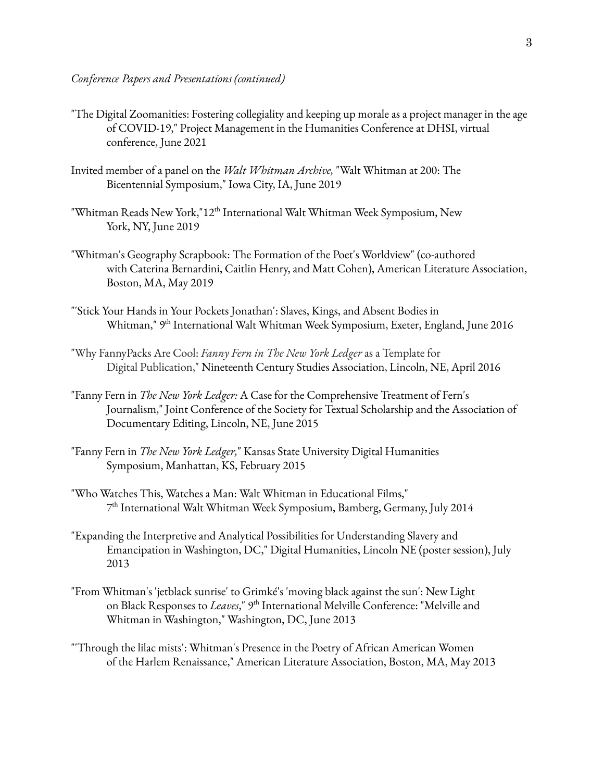- "The Digital Zoomanities: Fostering collegiality and keeping up morale as a project manager in the age of COVID-19," Project Management in the Humanities Conference at DHSI, virtual conference, June 2021
- Invited member of a panel on the *Walt Whitman Archive,* "Walt Whitman at 200: The Bicentennial Symposium," Iowa City, IA, June 2019
- "Whitman Reads New York,"12 $^{\rm th}$  International Walt Whitman Week Symposium, New York, NY, June 2019
- "Whitman's Geography Scrapbook: The Formation of the Poet's Worldview" (co-authored with Caterina Bernardini, Caitlin Henry, and Matt Cohen), American Literature Association, Boston, MA, May 2019
- "'Stick Your Hands in Your Pockets Jonathan': Slaves, Kings, and Absent Bodies in Whitman," 9<sup>th</sup> International Walt Whitman Week Symposium, Exeter, England, June 2016
- "Why FannyPacks Are Cool: *Fanny Fern in The New York Ledger* as a Template for Digital Publication," Nineteenth Century Studies Association, Lincoln, NE, April 2016
- "Fanny Fern in *The New York Ledger:* A Case for the Comprehensive Treatment of Fern's Journalism," Joint Conference of the Society for Textual Scholarship and the Association of Documentary Editing, Lincoln, NE, June 2015
- "Fanny Fern in *The New York Ledger,*" Kansas State University Digital Humanities Symposium, Manhattan, KS, February 2015
- "Who Watches This, Watches a Man: Walt Whitman in Educational Films," 7 th International Walt Whitman Week Symposium, Bamberg, Germany, July 2014
- "Expanding the Interpretive and Analytical Possibilities for Understanding Slavery and Emancipation in Washington, DC," Digital Humanities, Lincoln NE (poster session), July 2013
- "From Whitman's 'jetblack sunrise' to Grimké's 'moving black against the sun': New Light on Black Responses to *Leaves*," 9<sup>th</sup> International Melville Conference: "Melville and Whitman in Washington," Washington, DC, June 2013
- "'Through the lilac mists': Whitman's Presence in the Poetry of African American Women of the Harlem Renaissance," American Literature Association, Boston, MA, May 2013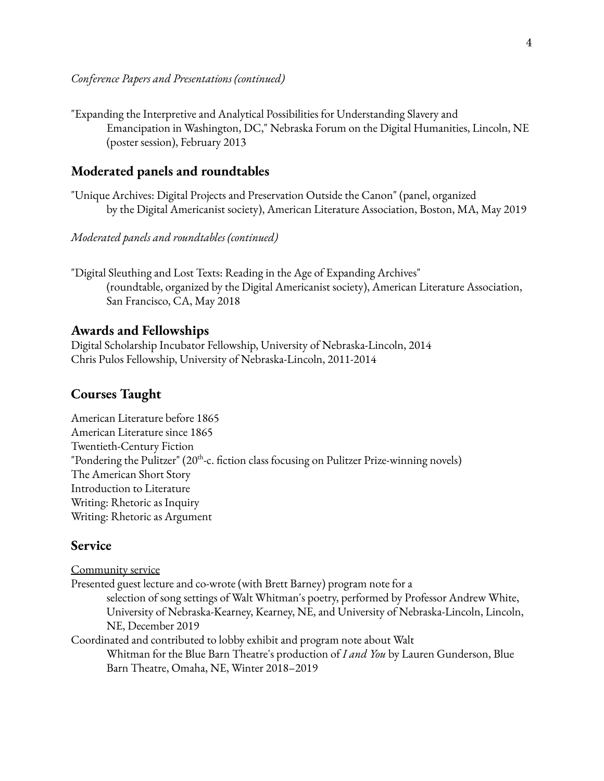"Expanding the Interpretive and Analytical Possibilities for Understanding Slavery and Emancipation in Washington, DC," Nebraska Forum on the Digital Humanities, Lincoln, NE (poster session), February 2013

#### **Moderated panels and roundtables**

"Unique Archives: Digital Projects and Preservation Outside the Canon" (panel, organized by the Digital Americanist society), American Literature Association, Boston, MA, May 2019

*Moderated panels and roundtables (continued)*

"Digital Sleuthing and Lost Texts: Reading in the Age of Expanding Archives" (roundtable, organized by the Digital Americanist society), American Literature Association, San Francisco, CA, May 2018

#### **Awards and Fellowships**

Digital Scholarship Incubator Fellowship, University of Nebraska-Lincoln, 2014 Chris Pulos Fellowship, University of Nebraska-Lincoln, 2011-2014

#### **Courses Taught**

American Literature before 1865 American Literature since 1865 Twentieth-Century Fiction "Pondering the Pulitzer" ( $20<sup>th</sup>$ -c. fiction class focusing on Pulitzer Prize-winning novels) The American Short Story Introduction to Literature Writing: Rhetoric as Inquiry Writing: Rhetoric as Argument

#### **Service**

Community service Presented guest lecture and co-wrote (with Brett Barney) program note for a selection of song settings of Walt Whitman's poetry, performed by Professor Andrew White, University of Nebraska-Kearney, Kearney, NE, and University of Nebraska-Lincoln, Lincoln, NE, December 2019 Coordinated and contributed to lobby exhibit and program note about Walt Whitman for the Blue Barn Theatre's production of *I and You* by Lauren Gunderson, Blue Barn Theatre, Omaha, NE, Winter 2018–2019